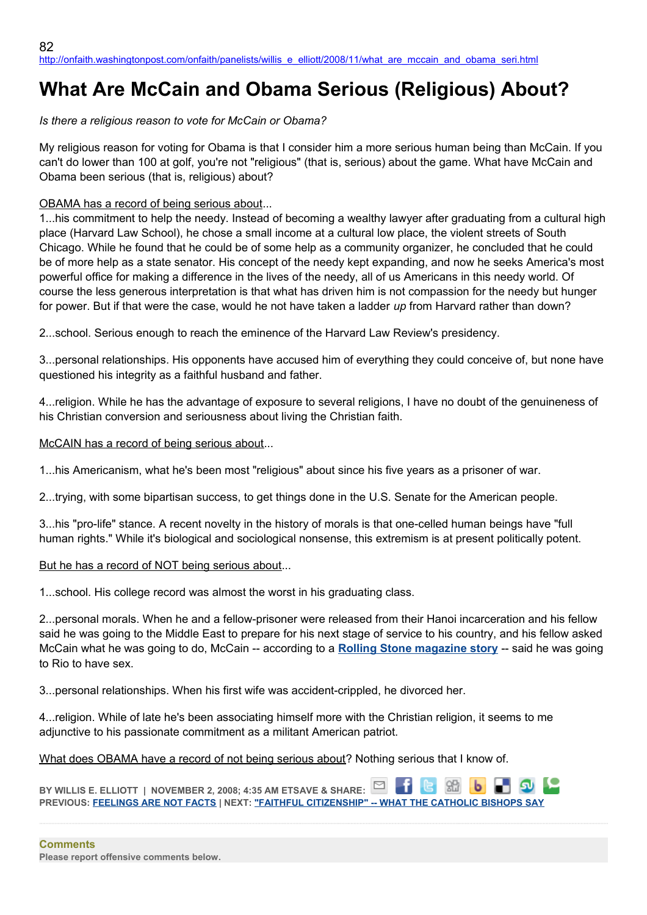# **What Are McCain and Obama Serious (Religious) About?**

## *Is there a religious reason to vote for McCain or Obama?*

My religious reason for voting for Obama is that I consider him a more serious human being than McCain. If you can't do lower than 100 at golf, you're not "religious" (that is, serious) about the game. What have McCain and Obama been serious (that is, religious) about?

## OBAMA has a record of being serious about...

1...his commitment to help the needy. Instead of becoming a wealthy lawyer after graduating from a cultural high place (Harvard Law School), he chose a small income at a cultural low place, the violent streets of South Chicago. While he found that he could be of some help as a community organizer, he concluded that he could be of more help as a state senator. His concept of the needy kept expanding, and now he seeks America's most powerful office for making a difference in the lives of the needy, all of us Americans in this needy world. Of course the less generous interpretation is that what has driven him is not compassion for the needy but hunger for power. But if that were the case, would he not have taken a ladder *up* from Harvard rather than down?

2...school. Serious enough to reach the eminence of the Harvard Law Review's presidency.

3...personal relationships. His opponents have accused him of everything they could conceive of, but none have questioned his integrity as a faithful husband and father.

4...religion. While he has the advantage of exposure to several religions, I have no doubt of the genuineness of his Christian conversion and seriousness about living the Christian faith.

### McCAIN has a record of being serious about...

1...his Americanism, what he's been most "religious" about since his five years as a prisoner of war.

2...trying, with some bipartisan success, to get things done in the U.S. Senate for the American people.

3...his "pro-life" stance. A recent novelty in the history of morals is that one-celled human beings have "full human rights." While it's biological and sociological nonsense, this extremism is at present politically potent.

### But he has a record of NOT being serious about...

1...school. His college record was almost the worst in his graduating class.

2...personal morals. When he and a fellow-prisoner were released from their Hanoi incarceration and his fellow said he was going to the Middle East to prepare for his next stage of service to his country, and his fellow asked McCain what he was going to do, McCain -- according to a **[Rolling Stone magazine story](http://www.rollingstone.com/news/coverstory/make_believe_maverick_the_real_john_mccain)** -- said he was going to Rio to have sex.

3...personal relationships. When his first wife was accident-crippled, he divorced her.

4...religion. While of late he's been associating himself more with the Christian religion, it seems to me adjunctive to his passionate commitment as a militant American patriot.

What does OBAMA have a record of not being serious about? Nothing serious that I know of.

⊡ **BY WILLIS E. ELLIOTT | NOVEMBER 2, 2008; 4:35 AM ETSAVE & SHARE: PREVIOUS: [FEELINGS ARE NOT FACTS](http://onfaith.washingtonpost.com/onfaith/panelists/cal_thomas/2008/11/feelings_are_not_facts.html) | NEXT: ["FAITHFUL CITIZENSHIP" -- WHAT THE CATHOLIC BISHOPS SAY](http://onfaith.washingtonpost.com/onfaith/panelists/thomas_g_bohlin/2008/11/faithful_citizenship_--_what_t.html)**